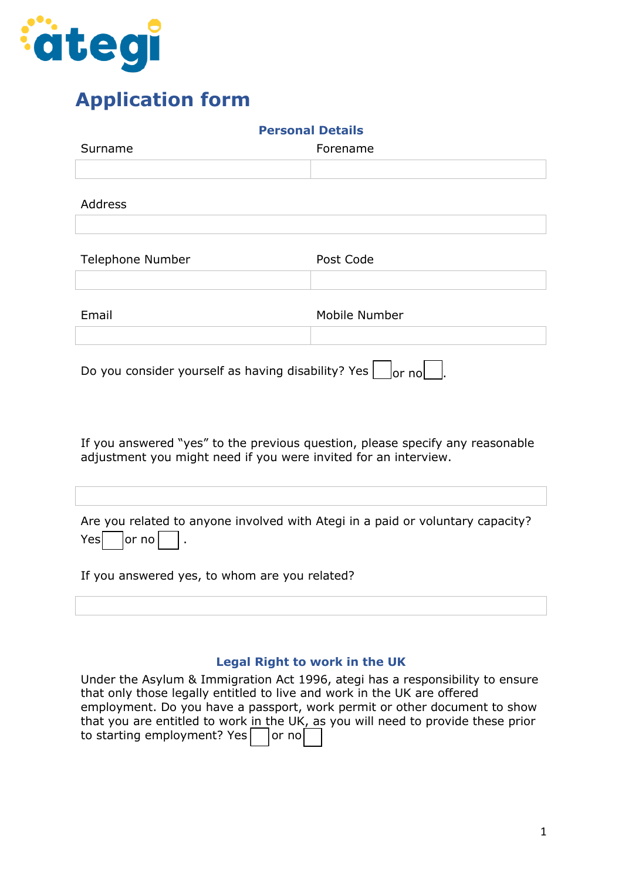

# **Application form**

| <b>Personal Details</b>                                                                                                                          |               |  |  |
|--------------------------------------------------------------------------------------------------------------------------------------------------|---------------|--|--|
| Surname                                                                                                                                          | Forename      |  |  |
|                                                                                                                                                  |               |  |  |
| <b>Address</b>                                                                                                                                   |               |  |  |
| Telephone Number                                                                                                                                 | Post Code     |  |  |
| Email                                                                                                                                            | Mobile Number |  |  |
| Do you consider yourself as having disability? Yes<br>$ $ or no $ $                                                                              |               |  |  |
| If you answered "yes" to the previous question, please specify any reasonable<br>adjustment you might need if you were invited for an interview. |               |  |  |
|                                                                                                                                                  |               |  |  |
| Are you related to anyone involved with Ategi in a paid or voluntary capacity?<br>or no<br>Yes                                                   |               |  |  |
| If you answered yes, to whom are you related?                                                                                                    |               |  |  |

### **Legal Right to work in the UK**

| Under the Asylum & Immigration Act 1996, ategi has a responsibility to ensure    |
|----------------------------------------------------------------------------------|
|                                                                                  |
| employment. Do you have a passport, work permit or other document to show        |
| that you are entitled to work in the UK, as you will need to provide these prior |
|                                                                                  |
|                                                                                  |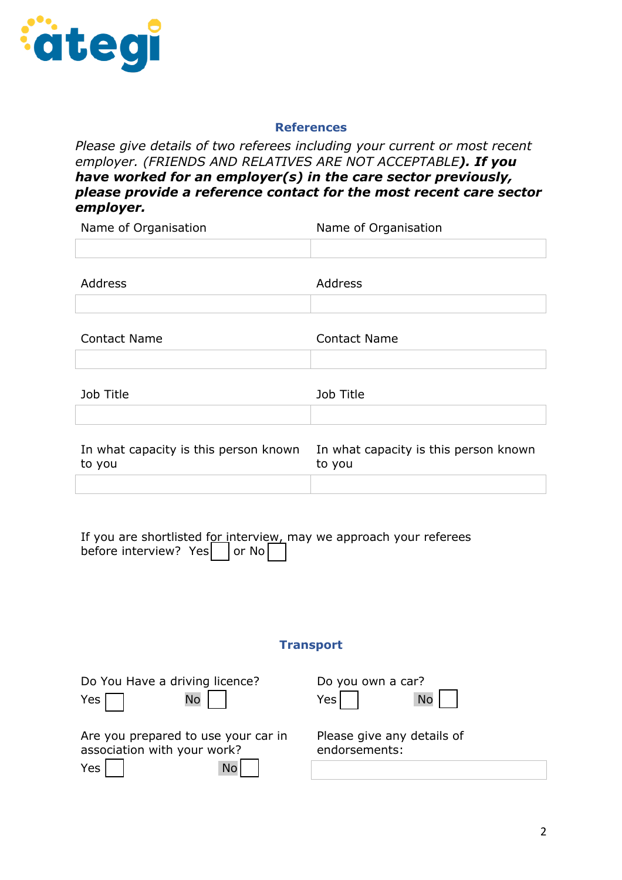

#### **References**

*Please give details of two referees including your current or most recent employer. (FRIENDS AND RELATIVES ARE NOT ACCEPTABLE). If you have worked for an employer(s) in the care sector previously, please provide a reference contact for the most recent care sector employer.*

Name of Organisation Name of Organisation Address Address Contact Name Contact Name Job Title Job Title

| In what capacity is this person known | In what capacity is this person known |
|---------------------------------------|---------------------------------------|
| to you                                | to vou                                |
|                                       |                                       |

| If you are shortlisted for interview, may we approach your referees before interview? Yes $\Box$ or No |  |  |  |
|--------------------------------------------------------------------------------------------------------|--|--|--|

#### **Transport**

| Yes $\Box$ | Do You Have a driving licence?<br>No                               | Do you own a car?<br>Yes<br><b>No</b>       |
|------------|--------------------------------------------------------------------|---------------------------------------------|
|            | Are you prepared to use your car in<br>association with your work? | Please give any details of<br>endorsements: |
| $Yes \mid$ | <b>No</b>                                                          |                                             |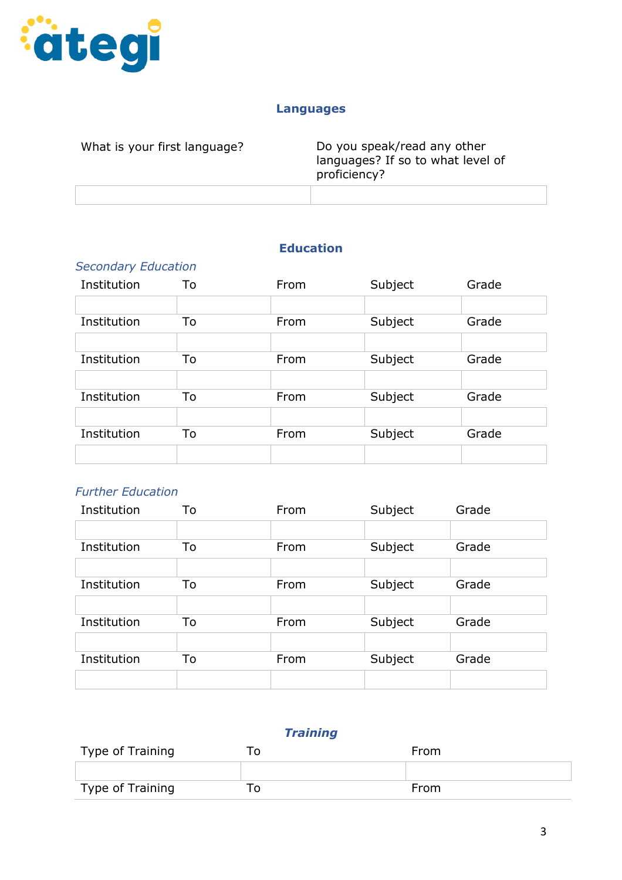

#### **Languages**

| What is your first language? | Do you speak/read any other<br>languages? If so to what level of<br>proficiency? |
|------------------------------|----------------------------------------------------------------------------------|
|                              |                                                                                  |

## **Education**

| <b>Secondary Education</b> |    |      |         |       |
|----------------------------|----|------|---------|-------|
| Institution                | To | From | Subject | Grade |
|                            |    |      |         |       |
| Institution                | To | From | Subject | Grade |
|                            |    |      |         |       |
| Institution                | To | From | Subject | Grade |
|                            |    |      |         |       |
| Institution                | To | From | Subject | Grade |
|                            |    |      |         |       |
| Institution                | To | From | Subject | Grade |
|                            |    |      |         |       |

#### *Further Education*

| Institution | To | From | Subject | Grade |
|-------------|----|------|---------|-------|
|             |    |      |         |       |
| Institution | To | From | Subject | Grade |
|             |    |      |         |       |
| Institution | To | From | Subject | Grade |
|             |    |      |         |       |
| Institution | To | From | Subject | Grade |
|             |    |      |         |       |
| Institution | To | From | Subject | Grade |
|             |    |      |         |       |

# *Training*

| Type of Training | From |
|------------------|------|
|                  |      |
| Type of Training | From |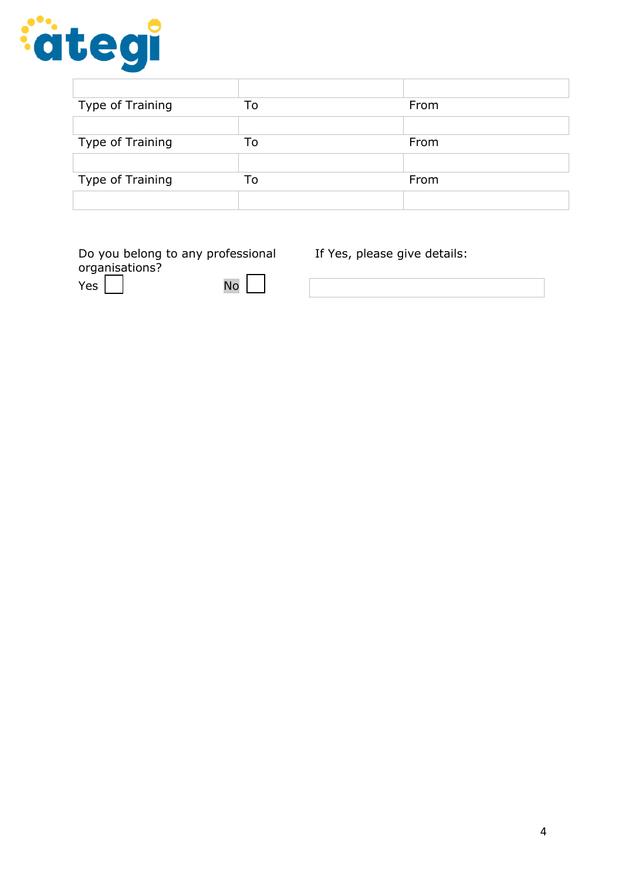

| Type of Training | To | From |
|------------------|----|------|
|                  |    |      |
| Type of Training | To | From |
|                  |    |      |
| Type of Training | To | From |
|                  |    |      |

| Do you belong to any professional |                  |  |
|-----------------------------------|------------------|--|
| organisations?                    |                  |  |
| Yes                               | $\overline{N}$ o |  |

If Yes, please give details: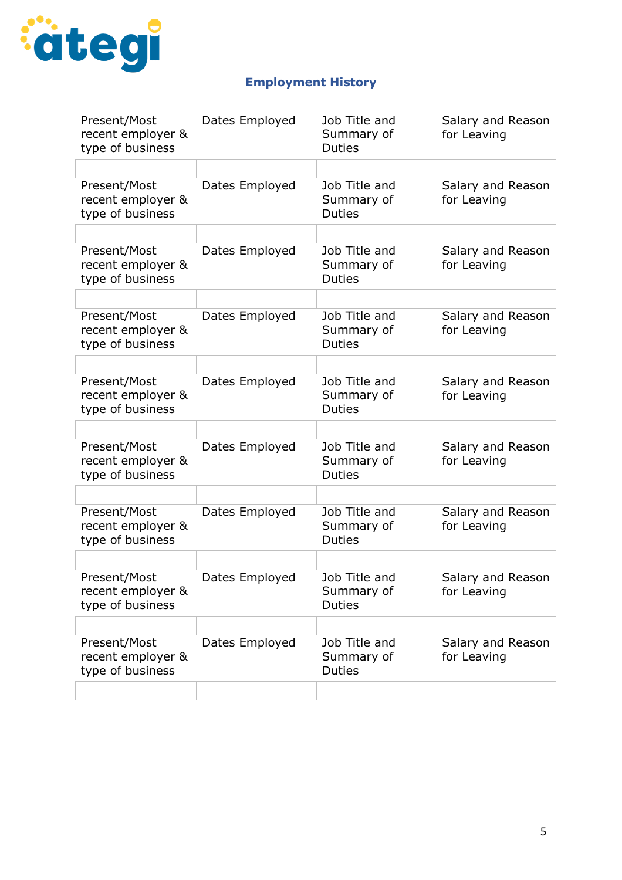

# **Employment History**

| Present/Most<br>recent employer &<br>type of business | Dates Employed | Job Title and<br>Summary of<br><b>Duties</b> | Salary and Reason<br>for Leaving |
|-------------------------------------------------------|----------------|----------------------------------------------|----------------------------------|
|                                                       |                |                                              |                                  |
| Present/Most<br>recent employer &<br>type of business | Dates Employed | Job Title and<br>Summary of<br><b>Duties</b> | Salary and Reason<br>for Leaving |
|                                                       |                |                                              |                                  |
| Present/Most<br>recent employer &<br>type of business | Dates Employed | Job Title and<br>Summary of<br><b>Duties</b> | Salary and Reason<br>for Leaving |
|                                                       |                |                                              |                                  |
| Present/Most<br>recent employer &<br>type of business | Dates Employed | Job Title and<br>Summary of<br><b>Duties</b> | Salary and Reason<br>for Leaving |
|                                                       |                |                                              |                                  |
| Present/Most<br>recent employer &<br>type of business | Dates Employed | Job Title and<br>Summary of<br><b>Duties</b> | Salary and Reason<br>for Leaving |
|                                                       |                |                                              |                                  |
| Present/Most<br>recent employer &<br>type of business | Dates Employed | Job Title and<br>Summary of<br><b>Duties</b> | Salary and Reason<br>for Leaving |
|                                                       |                |                                              |                                  |
| Present/Most<br>recent employer &<br>type of business | Dates Employed | Job Title and<br>Summary of<br><b>Duties</b> | Salary and Reason<br>for Leaving |
|                                                       |                |                                              |                                  |
| Present/Most<br>recent employer &<br>type of business | Dates Employed | Job Title and<br>Summary of<br><b>Duties</b> | Salary and Reason<br>for Leaving |
|                                                       |                |                                              |                                  |
| Present/Most<br>recent employer &<br>type of business | Dates Employed | Job Title and<br>Summary of<br><b>Duties</b> | Salary and Reason<br>for Leaving |
|                                                       |                |                                              |                                  |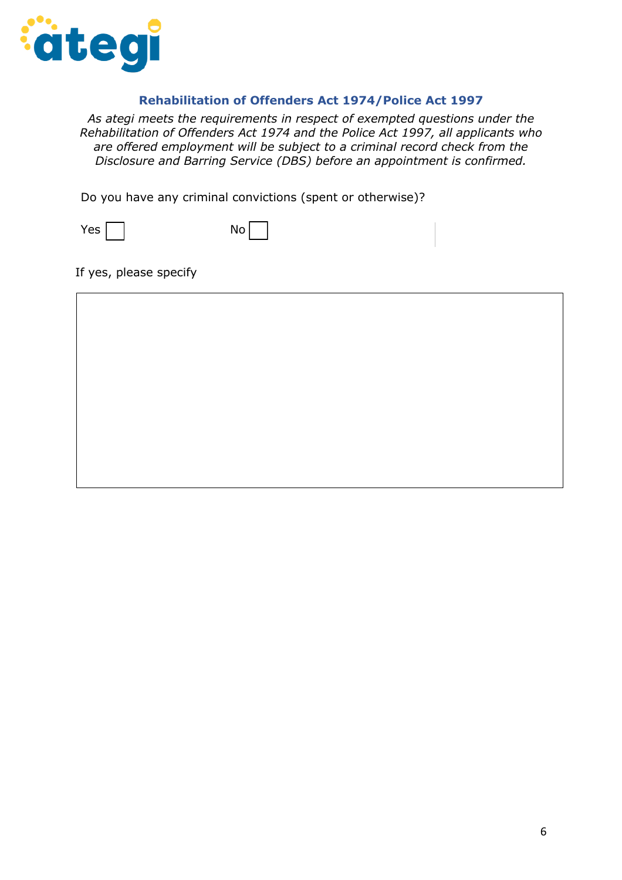

#### **Rehabilitation of Offenders Act 1974/Police Act 1997**

*As ategi meets the requirements in respect of exempted questions under the Rehabilitation of Offenders Act 1974 and the Police Act 1997, all applicants who are offered employment will be subject to a criminal record check from the Disclosure and Barring Service (DBS) before an appointment is confirmed.*

Do you have any criminal convictions (spent or otherwise)?



If yes, please specify